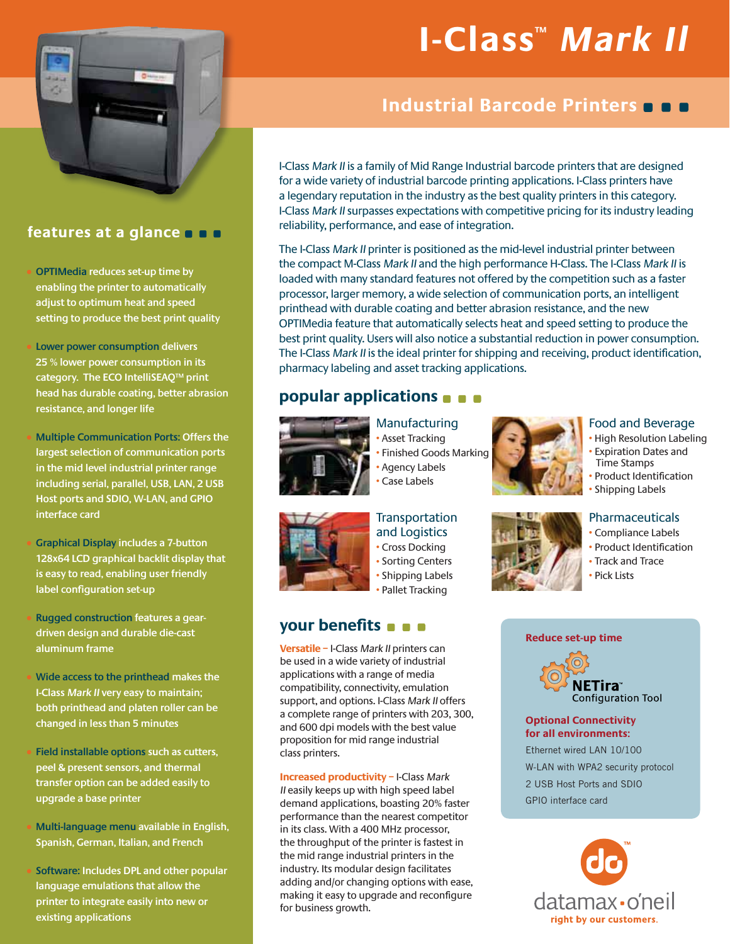

## **features at a glance**

**OPTIMedia reduces set-up time by enabling the printer to automatically adjust to optimum heat and speed setting to produce the best print quality**

- **Lower power consumption delivers 25 % lower power consumption in its category. The ECO IntelliSEAQ™ print head has durable coating, better abrasion resistance, and longer life**
- **Multiple Communication Ports: Offers the largest selection of communication ports in the mid level industrial printer range including serial, parallel, USB, LAN, 2 USB Host ports and SDIO, W-LAN, and GPIO interface card**
- **Graphical Display includes a 7-button 128x64 LCD graphical backlit display that is easy to read, enabling user friendly label configuration set-up**
- **Rugged construction features a geardriven design and durable die-cast aluminum frame**
- s**Wide access to the printhead makes the I-Class Mark II very easy to maintain; both printhead and platen roller can be changed in less than 5 minutes**
- **Field installable options such as cutters, peel & present sensors, and thermal transfer option can be added easily to upgrade a base printer**
- s**Multi-language menu available in English, Spanish, German, Italian, and French**
- s**Software: Includes DPL and other popular language emulations that allow the printer to integrate easily into new or existing applications**

# **I-Class™ Mark Il**

# **Industrial Barcode Printers**

I-Class Mark II is a family of Mid Range Industrial barcode printers that are designed for a wide variety of industrial barcode printing applications. I-Class printers have a legendary reputation in the industry as the best quality printers in this category. I-Class Mark II surpasses expectations with competitive pricing for its industry leading reliability, performance, and ease of integration.

The I-Class Mark II printer is positioned as the mid-level industrial printer between the compact M-Class Mark II and the high performance H-Class. The I-Class Mark II is loaded with many standard features not offered by the competition such as a faster processor, larger memory, a wide selection of communication ports, an intelligent printhead with durable coating and better abrasion resistance, and the new OPTIMedia feature that automatically selects heat and speed setting to produce the best print quality. Users will also notice a substantial reduction in power consumption. The I-Class Mark II is the ideal printer for shipping and receiving, product identification, pharmacy labeling and asset tracking applications.

# **popular applications**



Manufacturing • Asset Tracking **Finished Goods Marking** • Agency Labels Case Labels





- High Resolution Labeling **• Expiration Dates and** Time Stamps
- Product Identification • Shipping Labels

### **Pharmaceuticals**

- Compliance Labels
- Product Identification
- Track and Trace
- Pick Lists

#### **Reduce set-up time**



#### **Optional Connectivity for all environments:**

Ethernet wired LAN 10/100 W-LAN with WPA2 security protocol 2 USB Host Ports and SDIO GPIO interface card





**Transportation** and Logistics • Cross Docking • Sorting Centers • Shipping Labels • Pallet Tracking

## **your benefits**

**Versatile –** I-Class Mark II printers can be used in a wide variety of industrial applications with a range of media compatibility, connectivity, emulation support, and options. I-Class Mark II offers a complete range of printers with 203, 300, and 600 dpi models with the best value proposition for mid range industrial class printers.

 **Increased productivity –** I-Class Mark II easily keeps up with high speed label demand applications, boasting 20% faster performance than the nearest competitor in its class. With a 400 MHz processor, the throughput of the printer is fastest in the mid range industrial printers in the industry. Its modular design facilitates adding and/or changing options with ease, making it easy to upgrade and reconfigure for business growth.